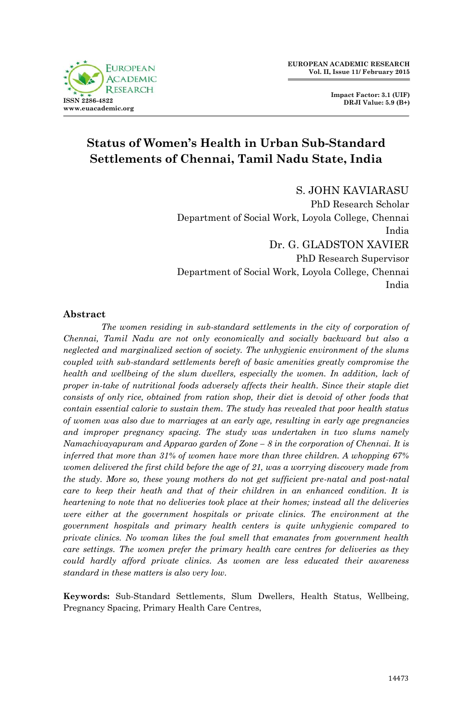

# **Status of Women's Health in Urban Sub-Standard Settlements of Chennai, Tamil Nadu State, India**

S. JOHN KAVIARASU PhD Research Scholar Department of Social Work, Loyola College, Chennai India Dr. G. GLADSTON XAVIER PhD Research Supervisor Department of Social Work, Loyola College, Chennai India

## **Abstract**

*The women residing in sub-standard settlements in the city of corporation of Chennai, Tamil Nadu are not only economically and socially backward but also a neglected and marginalized section of society. The unhygienic environment of the slums coupled with sub-standard settlements bereft of basic amenities greatly compromise the health and wellbeing of the slum dwellers, especially the women. In addition, lack of proper in-take of nutritional foods adversely affects their health. Since their staple diet consists of only rice, obtained from ration shop, their diet is devoid of other foods that contain essential calorie to sustain them. The study has revealed that poor health status of women was also due to marriages at an early age, resulting in early age pregnancies*  and improper pregnancy spacing. The study was undertaken in two slums namely *Namachivayapuram and Apparao garden of Zone – 8 in the corporation of Chennai. It is inferred that more than 31% of women have more than three children. A whopping 67% women delivered the first child before the age of 21, was a worrying discovery made from the study. More so, these young mothers do not get sufficient pre-natal and post-natal care to keep their heath and that of their children in an enhanced condition. It is heartening to note that no deliveries took place at their homes; instead all the deliveries were either at the government hospitals or private clinics. The environment at the government hospitals and primary health centers is quite unhygienic compared to private clinics. No woman likes the foul smell that emanates from government health care settings. The women prefer the primary health care centres for deliveries as they could hardly afford private clinics. As women are less educated their awareness standard in these matters is also very low.* 

**Keywords:** Sub-Standard Settlements, Slum Dwellers, Health Status, Wellbeing, Pregnancy Spacing, Primary Health Care Centres,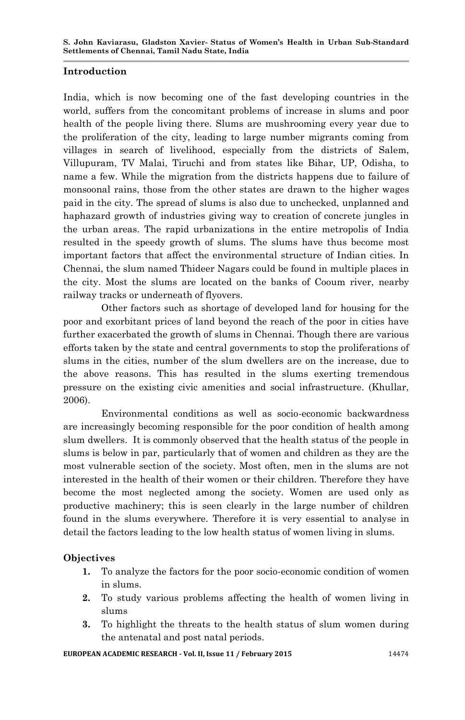#### **Introduction**

India, which is now becoming one of the fast developing countries in the world, suffers from the concomitant problems of increase in slums and poor health of the people living there. Slums are mushrooming every year due to the proliferation of the city, leading to large number migrants coming from villages in search of livelihood, especially from the districts of Salem, Villupuram, TV Malai, Tiruchi and from states like Bihar, UP, Odisha, to name a few. While the migration from the districts happens due to failure of monsoonal rains, those from the other states are drawn to the higher wages paid in the city. The spread of slums is also due to unchecked, unplanned and haphazard growth of industries giving way to creation of concrete jungles in the urban areas. The rapid urbanizations in the entire metropolis of India resulted in the speedy growth of slums. The slums have thus become most important factors that affect the environmental structure of Indian cities. In Chennai, the slum named Thideer Nagars could be found in multiple places in the city. Most the slums are located on the banks of Cooum river, nearby railway tracks or underneath of flyovers.

Other factors such as shortage of developed land for housing for the poor and exorbitant prices of land beyond the reach of the poor in cities have further exacerbated the growth of slums in Chennai. Though there are various efforts taken by the state and central governments to stop the proliferations of slums in the cities, number of the slum dwellers are on the increase, due to the above reasons. This has resulted in the slums exerting tremendous pressure on the existing civic amenities and social infrastructure. (Khullar, 2006).

Environmental conditions as well as socio-economic backwardness are increasingly becoming responsible for the poor condition of health among slum dwellers. It is commonly observed that the health status of the people in slums is below in par, particularly that of women and children as they are the most vulnerable section of the society. Most often, men in the slums are not interested in the health of their women or their children. Therefore they have become the most neglected among the society. Women are used only as productive machinery; this is seen clearly in the large number of children found in the slums everywhere. Therefore it is very essential to analyse in detail the factors leading to the low health status of women living in slums.

## **Objectives**

- **1.** To analyze the factors for the poor socio-economic condition of women in slums.
- **2.** To study various problems affecting the health of women living in slums
- **3.** To highlight the threats to the health status of slum women during the antenatal and post natal periods.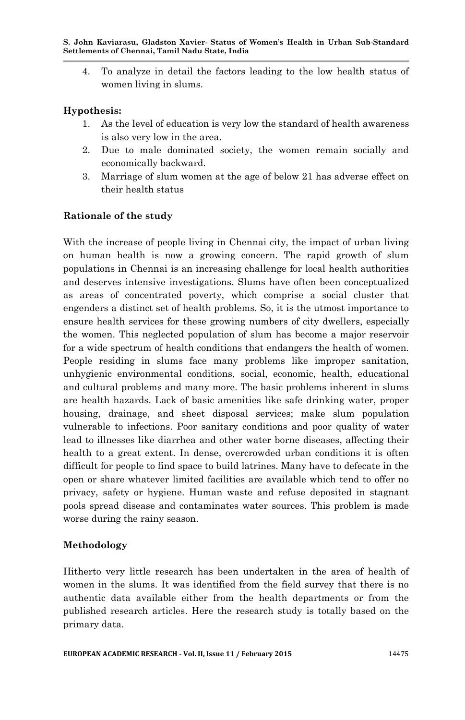4. To analyze in detail the factors leading to the low health status of women living in slums.

# **Hypothesis:**

- 1. As the level of education is very low the standard of health awareness is also very low in the area.
- 2. Due to male dominated society, the women remain socially and economically backward.
- 3. Marriage of slum women at the age of below 21 has adverse effect on their health status

# **Rationale of the study**

With the increase of people living in Chennai city, the impact of urban living on human health is now a growing concern. The rapid growth of slum populations in Chennai is an increasing challenge for local health authorities and deserves intensive investigations. Slums have often been conceptualized as areas of concentrated poverty, which comprise a social cluster that engenders a distinct set of health problems. So, it is the utmost importance to ensure health services for these growing numbers of city dwellers, especially the women. This neglected population of slum has become a major reservoir for a wide spectrum of health conditions that endangers the health of women. People residing in slums face many problems like improper sanitation, unhygienic environmental conditions, social, economic, health, educational and cultural problems and many more. The basic problems inherent in slums are health hazards. Lack of basic amenities like safe drinking water, proper housing, drainage, and sheet disposal services; make slum population vulnerable to infections. Poor sanitary conditions and poor quality of water lead to illnesses like diarrhea and other water borne diseases, affecting their health to a great extent. In dense, overcrowded urban conditions it is often difficult for people to find space to build latrines. Many have to defecate in the open or share whatever limited facilities are available which tend to offer no privacy, safety or hygiene. Human waste and refuse deposited in stagnant pools spread disease and contaminates water sources. This problem is made worse during the rainy season.

## **Methodology**

Hitherto very little research has been undertaken in the area of health of women in the slums. It was identified from the field survey that there is no authentic data available either from the health departments or from the published research articles. Here the research study is totally based on the primary data.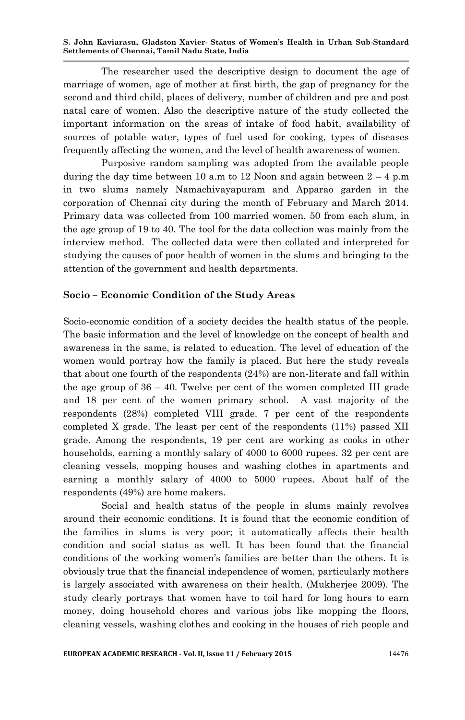The researcher used the descriptive design to document the age of marriage of women, age of mother at first birth, the gap of pregnancy for the second and third child, places of delivery, number of children and pre and post natal care of women. Also the descriptive nature of the study collected the important information on the areas of intake of food habit, availability of sources of potable water, types of fuel used for cooking, types of diseases frequently affecting the women, and the level of health awareness of women.

Purposive random sampling was adopted from the available people during the day time between 10 a.m to 12 Noon and again between  $2 - 4$  p.m in two slums namely Namachivayapuram and Apparao garden in the corporation of Chennai city during the month of February and March 2014. Primary data was collected from 100 married women, 50 from each slum, in the age group of 19 to 40. The tool for the data collection was mainly from the interview method. The collected data were then collated and interpreted for studying the causes of poor health of women in the slums and bringing to the attention of the government and health departments.

#### **Socio – Economic Condition of the Study Areas**

Socio-economic condition of a society decides the health status of the people. The basic information and the level of knowledge on the concept of health and awareness in the same, is related to education. The level of education of the women would portray how the family is placed. But here the study reveals that about one fourth of the respondents (24%) are non-literate and fall within the age group of  $36 - 40$ . Twelve per cent of the women completed III grade and 18 per cent of the women primary school. A vast majority of the respondents (28%) completed VIII grade. 7 per cent of the respondents completed X grade. The least per cent of the respondents (11%) passed XII grade. Among the respondents, 19 per cent are working as cooks in other households, earning a monthly salary of 4000 to 6000 rupees. 32 per cent are cleaning vessels, mopping houses and washing clothes in apartments and earning a monthly salary of 4000 to 5000 rupees. About half of the respondents (49%) are home makers.

Social and health status of the people in slums mainly revolves around their economic conditions. It is found that the economic condition of the families in slums is very poor; it automatically affects their health condition and social status as well. It has been found that the financial conditions of the working women's families are better than the others. It is obviously true that the financial independence of women, particularly mothers is largely associated with awareness on their health. (Mukherjee 2009). The study clearly portrays that women have to toil hard for long hours to earn money, doing household chores and various jobs like mopping the floors, cleaning vessels, washing clothes and cooking in the houses of rich people and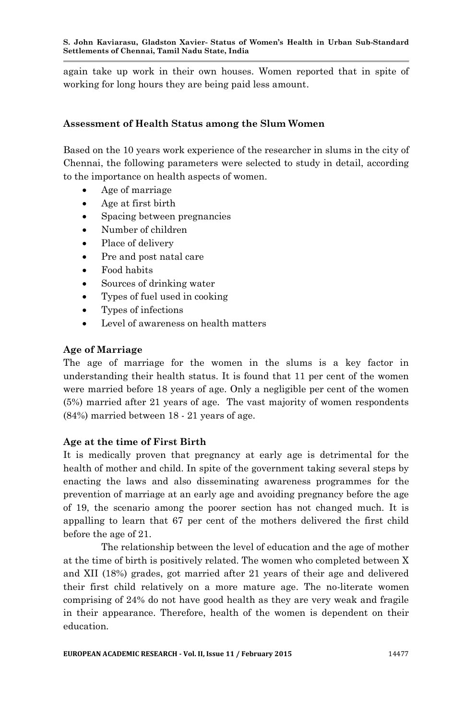again take up work in their own houses. Women reported that in spite of working for long hours they are being paid less amount.

#### **Assessment of Health Status among the Slum Women**

Based on the 10 years work experience of the researcher in slums in the city of Chennai, the following parameters were selected to study in detail, according to the importance on health aspects of women.

- Age of marriage
- Age at first birth
- Spacing between pregnancies
- Number of children
- Place of delivery
- Pre and post natal care
- Food habits
- Sources of drinking water
- Types of fuel used in cooking
- Types of infections
- Level of awareness on health matters

#### **Age of Marriage**

The age of marriage for the women in the slums is a key factor in understanding their health status. It is found that 11 per cent of the women were married before 18 years of age. Only a negligible per cent of the women (5%) married after 21 years of age. The vast majority of women respondents (84%) married between 18 - 21 years of age.

## **Age at the time of First Birth**

It is medically proven that pregnancy at early age is detrimental for the health of mother and child. In spite of the government taking several steps by enacting the laws and also disseminating awareness programmes for the prevention of marriage at an early age and avoiding pregnancy before the age of 19, the scenario among the poorer section has not changed much. It is appalling to learn that 67 per cent of the mothers delivered the first child before the age of 21.

The relationship between the level of education and the age of mother at the time of birth is positively related. The women who completed between X and XII (18%) grades, got married after 21 years of their age and delivered their first child relatively on a more mature age. The no-literate women comprising of 24% do not have good health as they are very weak and fragile in their appearance. Therefore, health of the women is dependent on their education.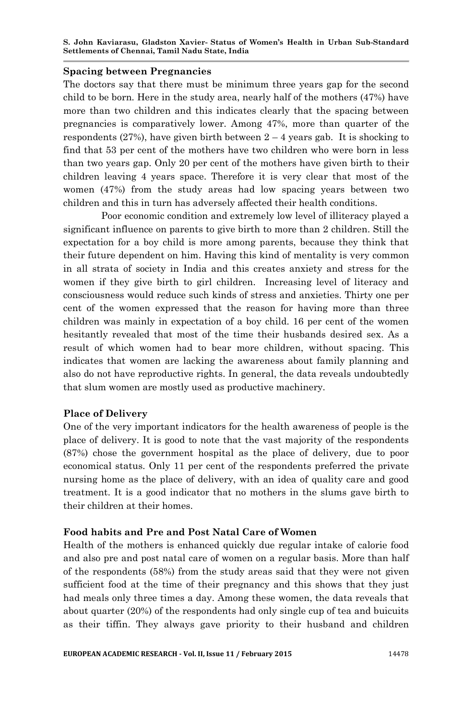#### **Spacing between Pregnancies**

The doctors say that there must be minimum three years gap for the second child to be born. Here in the study area, nearly half of the mothers (47%) have more than two children and this indicates clearly that the spacing between pregnancies is comparatively lower. Among 47%, more than quarter of the respondents (27%), have given birth between  $2 - 4$  years gab. It is shocking to find that 53 per cent of the mothers have two children who were born in less than two years gap. Only 20 per cent of the mothers have given birth to their children leaving 4 years space. Therefore it is very clear that most of the women (47%) from the study areas had low spacing years between two children and this in turn has adversely affected their health conditions.

Poor economic condition and extremely low level of illiteracy played a significant influence on parents to give birth to more than 2 children. Still the expectation for a boy child is more among parents, because they think that their future dependent on him. Having this kind of mentality is very common in all strata of society in India and this creates anxiety and stress for the women if they give birth to girl children. Increasing level of literacy and consciousness would reduce such kinds of stress and anxieties. Thirty one per cent of the women expressed that the reason for having more than three children was mainly in expectation of a boy child. 16 per cent of the women hesitantly revealed that most of the time their husbands desired sex. As a result of which women had to bear more children, without spacing. This indicates that women are lacking the awareness about family planning and also do not have reproductive rights. In general, the data reveals undoubtedly that slum women are mostly used as productive machinery.

#### **Place of Delivery**

One of the very important indicators for the health awareness of people is the place of delivery. It is good to note that the vast majority of the respondents (87%) chose the government hospital as the place of delivery, due to poor economical status. Only 11 per cent of the respondents preferred the private nursing home as the place of delivery, with an idea of quality care and good treatment. It is a good indicator that no mothers in the slums gave birth to their children at their homes.

#### **Food habits and Pre and Post Natal Care of Women**

Health of the mothers is enhanced quickly due regular intake of calorie food and also pre and post natal care of women on a regular basis. More than half of the respondents (58%) from the study areas said that they were not given sufficient food at the time of their pregnancy and this shows that they just had meals only three times a day. Among these women, the data reveals that about quarter (20%) of the respondents had only single cup of tea and buicuits as their tiffin. They always gave priority to their husband and children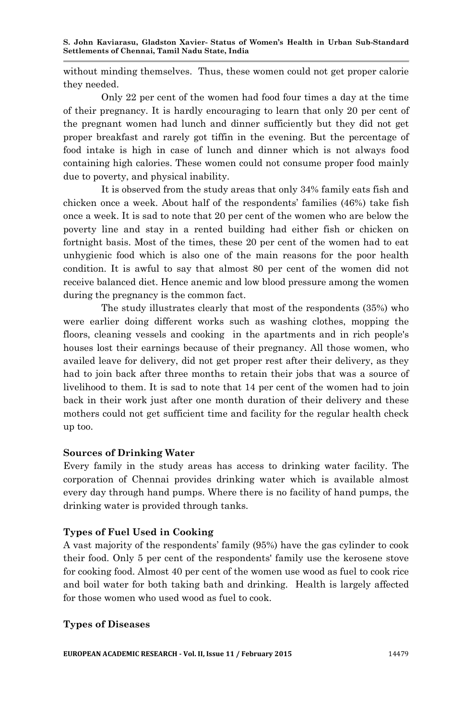without minding themselves. Thus, these women could not get proper calorie they needed.

Only 22 per cent of the women had food four times a day at the time of their pregnancy. It is hardly encouraging to learn that only 20 per cent of the pregnant women had lunch and dinner sufficiently but they did not get proper breakfast and rarely got tiffin in the evening. But the percentage of food intake is high in case of lunch and dinner which is not always food containing high calories. These women could not consume proper food mainly due to poverty, and physical inability.

It is observed from the study areas that only 34% family eats fish and chicken once a week. About half of the respondents' families (46%) take fish once a week. It is sad to note that 20 per cent of the women who are below the poverty line and stay in a rented building had either fish or chicken on fortnight basis. Most of the times, these 20 per cent of the women had to eat unhygienic food which is also one of the main reasons for the poor health condition. It is awful to say that almost 80 per cent of the women did not receive balanced diet. Hence anemic and low blood pressure among the women during the pregnancy is the common fact.

The study illustrates clearly that most of the respondents (35%) who were earlier doing different works such as washing clothes, mopping the floors, cleaning vessels and cooking in the apartments and in rich people's houses lost their earnings because of their pregnancy. All those women, who availed leave for delivery, did not get proper rest after their delivery, as they had to join back after three months to retain their jobs that was a source of livelihood to them. It is sad to note that 14 per cent of the women had to join back in their work just after one month duration of their delivery and these mothers could not get sufficient time and facility for the regular health check up too.

## **Sources of Drinking Water**

Every family in the study areas has access to drinking water facility. The corporation of Chennai provides drinking water which is available almost every day through hand pumps. Where there is no facility of hand pumps, the drinking water is provided through tanks.

#### **Types of Fuel Used in Cooking**

A vast majority of the respondents' family (95%) have the gas cylinder to cook their food. Only 5 per cent of the respondents' family use the kerosene stove for cooking food. Almost 40 per cent of the women use wood as fuel to cook rice and boil water for both taking bath and drinking. Health is largely affected for those women who used wood as fuel to cook.

#### **Types of Diseases**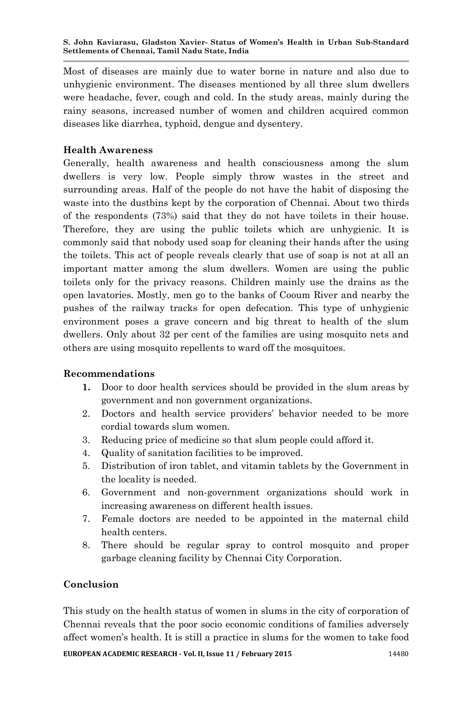Most of diseases are mainly due to water borne in nature and also due to unhygienic environment. The diseases mentioned by all three slum dwellers were headache, fever, cough and cold. In the study areas, mainly during the rainy seasons, increased number of women and children acquired common diseases like diarrhea, typhoid, dengue and dysentery.

# **Health Awareness**

Generally, health awareness and health consciousness among the slum dwellers is very low. People simply throw wastes in the street and surrounding areas. Half of the people do not have the habit of disposing the waste into the dustbins kept by the corporation of Chennai. About two thirds of the respondents (73%) said that they do not have toilets in their house. Therefore, they are using the public toilets which are unhygienic. It is commonly said that nobody used soap for cleaning their hands after the using the toilets. This act of people reveals clearly that use of soap is not at all an important matter among the slum dwellers. Women are using the public toilets only for the privacy reasons. Children mainly use the drains as the open lavatories. Mostly, men go to the banks of Cooum River and nearby the pushes of the railway tracks for open defecation. This type of unhygienic environment poses a grave concern and big threat to health of the slum dwellers. Only about 32 per cent of the families are using mosquito nets and others are using mosquito repellents to ward off the mosquitoes.

## **Recommendations**

- **1.** Door to door health services should be provided in the slum areas by government and non government organizations.
- 2. Doctors and health service providers' behavior needed to be more cordial towards slum women.
- 3. Reducing price of medicine so that slum people could afford it.
- 4. Quality of sanitation facilities to be improved.
- 5. Distribution of iron tablet, and vitamin tablets by the Government in the locality is needed.
- 6. Government and non-government organizations should work in increasing awareness on different health issues.
- 7. Female doctors are needed to be appointed in the maternal child health centers.
- 8. There should be regular spray to control mosquito and proper garbage cleaning facility by Chennai City Corporation.

# **Conclusion**

This study on the health status of women in slums in the city of corporation of Chennai reveals that the poor socio economic conditions of families adversely affect women's health. It is still a practice in slums for the women to take food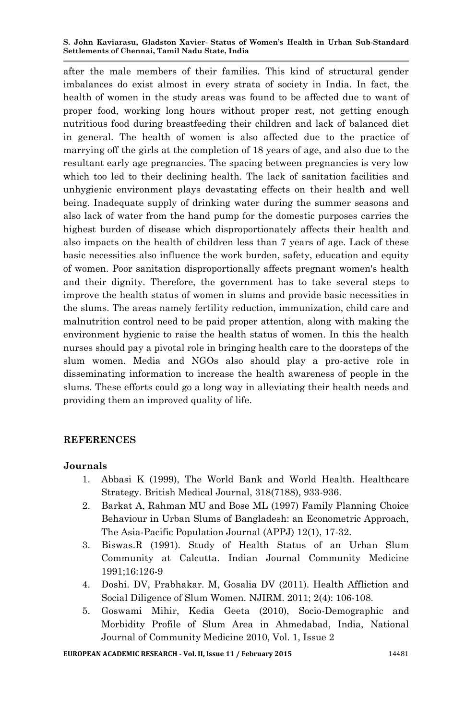after the male members of their families. This kind of structural gender imbalances do exist almost in every strata of society in India. In fact, the health of women in the study areas was found to be affected due to want of proper food, working long hours without proper rest, not getting enough nutritious food during breastfeeding their children and lack of balanced diet in general. The health of women is also affected due to the practice of marrying off the girls at the completion of 18 years of age, and also due to the resultant early age pregnancies. The spacing between pregnancies is very low which too led to their declining health. The lack of sanitation facilities and unhygienic environment plays devastating effects on their health and well being. Inadequate supply of drinking water during the summer seasons and also lack of water from the hand pump for the domestic purposes carries the highest burden of disease which disproportionately affects their health and also impacts on the health of children less than 7 years of age. Lack of these basic necessities also influence the work burden, safety, education and equity of women. Poor sanitation disproportionally affects pregnant women's health and their dignity. Therefore, the government has to take several steps to improve the health status of women in slums and provide basic necessities in the slums. The areas namely fertility reduction, immunization, child care and malnutrition control need to be paid proper attention, along with making the environment hygienic to raise the health status of women. In this the health nurses should pay a pivotal role in bringing health care to the doorsteps of the slum women. Media and NGOs also should play a pro-active role in disseminating information to increase the health awareness of people in the slums. These efforts could go a long way in alleviating their health needs and providing them an improved quality of life.

# **REFERENCES**

## **Journals**

- 1. Abbasi K (1999), The World Bank and World Health. Healthcare Strategy. British Medical Journal, 318(7188), 933-936.
- 2. Barkat A, Rahman MU and Bose ML (1997) Family Planning Choice Behaviour in Urban Slums of Bangladesh: an Econometric Approach, The Asia-Pacific Population Journal (APPJ) 12(1), 17-32.
- 3. Biswas.R (1991). Study of Health Status of an Urban Slum Community at Calcutta. Indian Journal Community Medicine 1991;16:126-9
- 4. Doshi. DV, Prabhakar. M, Gosalia DV (2011). Health Affliction and Social Diligence of Slum Women. NJIRM. 2011; 2(4): 106-108.
- 5. Goswami Mihir, Kedia Geeta (2010), Socio-Demographic and Morbidity Profile of Slum Area in Ahmedabad, India, National Journal of Community Medicine 2010, Vol. 1, Issue 2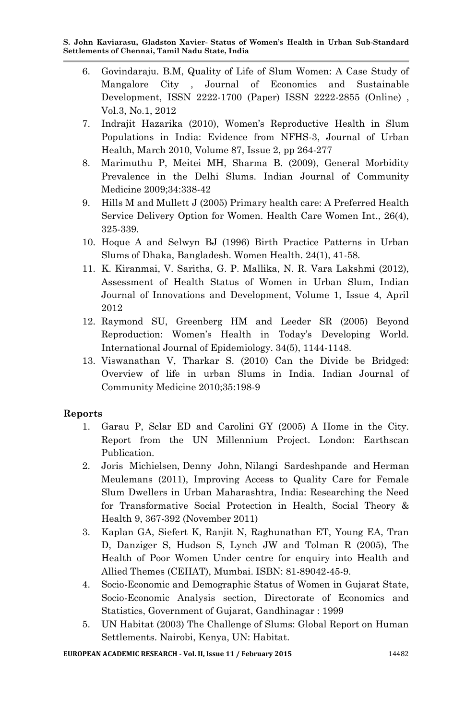- 6. Govindaraju. B.M, Quality of Life of Slum Women: A Case Study of Mangalore City , Journal of Economics and Sustainable Development, ISSN 2222-1700 (Paper) ISSN 2222-2855 (Online) , Vol.3, No.1, 2012
- 7. Indrajit Hazarika (2010), Women's Reproductive Health in Slum Populations in India: Evidence from NFHS-3, Journal of Urban Health, March 2010, Volume 87, Issue 2, pp 264-277
- 8. Marimuthu P, Meitei MH, Sharma B. (2009), General Morbidity Prevalence in the Delhi Slums. Indian Journal of Community Medicine 2009;34:338-42
- 9. Hills M and Mullett J (2005) Primary health care: A Preferred Health Service Delivery Option for Women. Health Care Women Int., 26(4), 325-339.
- 10. Hoque A and Selwyn BJ (1996) Birth Practice Patterns in Urban Slums of Dhaka, Bangladesh. Women Health. 24(1), 41-58.
- 11. K. Kiranmai, V. Saritha, G. P. Mallika, N. R. Vara Lakshmi (2012), Assessment of Health Status of Women in Urban Slum, Indian Journal of Innovations and Development, Volume 1, Issue 4, April 2012
- 12. Raymond SU, Greenberg HM and Leeder SR (2005) Beyond Reproduction: Women's Health in Today's Developing World. International Journal of Epidemiology. 34(5), 1144-1148.
- 13. Viswanathan V, Tharkar S. (2010) Can the Divide be Bridged: Overview of life in urban Slums in India. Indian Journal of Community Medicine 2010;35:198-9

# **Reports**

- 1. Garau P, Sclar ED and Carolini GY (2005) A Home in the City. Report from the UN Millennium Project. London: Earthscan Publication.
- 2. Joris Michielsen, Denny John, Nilangi Sardeshpande and Herman Meulemans (2011), Improving Access to Quality Care for Female Slum Dwellers in Urban Maharashtra, India: Researching the Need for Transformative Social Protection in Health, Social Theory & Health 9, 367-392 (November 2011)
- 3. Kaplan GA, Siefert K, Ranjit N, Raghunathan ET, Young EA, Tran D, Danziger S, Hudson S, Lynch JW and Tolman R (2005), The Health of Poor Women Under centre for enquiry into Health and Allied Themes (CEHAT), Mumbai. ISBN: 81-89042-45-9.
- 4. Socio-Economic and Demographic Status of Women in Gujarat State, Socio-Economic Analysis section, Directorate of Economics and Statistics, Government of Gujarat, Gandhinagar : 1999
- 5. UN Habitat (2003) The Challenge of Slums: Global Report on Human Settlements. Nairobi, Kenya, UN: Habitat.